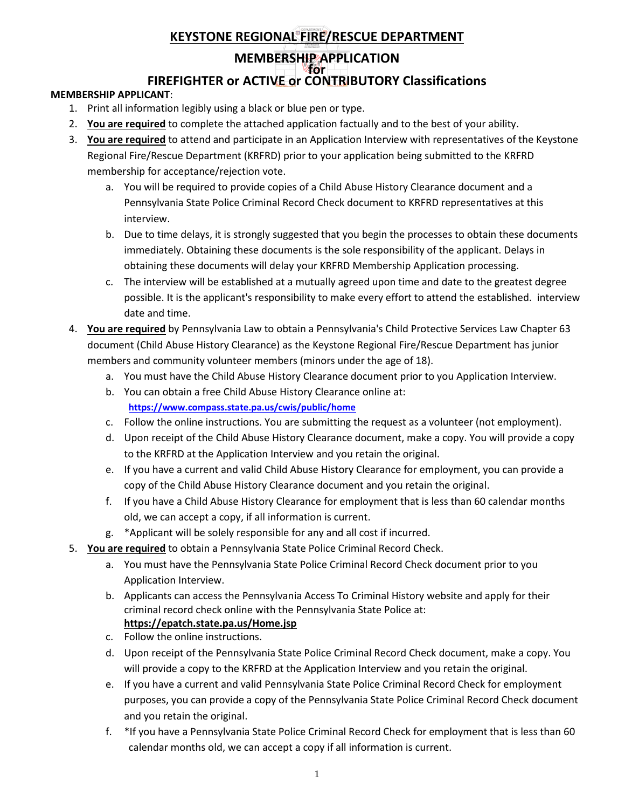#### **MEMBERSHIP APPLICATION for**

# **FIREFIGHTER or ACTIVE or CONTRIBUTORY Classifications**

#### **MEMBERSHIP APPLICANT**:

- 1. Print all information legibly using a black or blue pen or type.
- 2. **You are required** to complete the attached application factually and to the best of your ability.
- 3. **You are required** to attend and participate in an Application Interview with representatives of the Keystone Regional Fire/Rescue Department (KRFRD) prior to your application being submitted to the KRFRD membership for acceptance/rejection vote.
	- a. You will be required to provide copies of a Child Abuse History Clearance document and a Pennsylvania State Police Criminal Record Check document to KRFRD representatives at this interview.
	- b. Due to time delays, it is strongly suggested that you begin the processes to obtain these documents immediately. Obtaining these documents is the sole responsibility of the applicant. Delays in obtaining these documents will delay your KRFRD Membership Application processing.
	- c. The interview will be established at a mutually agreed upon time and date to the greatest degree possible. It is the applicant's responsibility to make every effort to attend the established. interview date and time.
- 4. **You are required** by Pennsylvania Law to obtain a Pennsylvania's Child Protective Services Law Chapter 63 document (Child Abuse History Clearance) as the Keystone Regional Fire/Rescue Department has junior members and community volunteer members (minors under the age of 18).
	- a. You must have the Child Abuse History Clearance document prior to you Application Interview.
	- b. You can obtain a free Child Abuse History Clearance online at: **<https://www.compass.state.pa.us/cwis/public/home>**
	- c. Follow the online instructions. You are submitting the request as a volunteer (not employment).
	- d. Upon receipt of the Child Abuse History Clearance document, make a copy. You will provide a copy to the KRFRD at the Application Interview and you retain the original.
	- e. If you have a current and valid Child Abuse History Clearance for employment, you can provide a copy of the Child Abuse History Clearance document and you retain the original.
	- f. If you have a Child Abuse History Clearance for employment that is less than 60 calendar months old, we can accept a copy, if all information is current.
	- g. \*Applicant will be solely responsible for any and all cost if incurred.
- 5. **You are required** to obtain a Pennsylvania State Police Criminal Record Check.
	- a. You must have the Pennsylvania State Police Criminal Record Check document prior to you Application Interview.
	- b. Applicants can access the Pennsylvania Access To Criminal History website and apply for their criminal record check online with the Pennsylvania State Police at: **<https://epatch.state.pa.us/Home.jsp>**
	- c. Follow the online instructions.
	- d. Upon receipt of the Pennsylvania State Police Criminal Record Check document, make a copy. You will provide a copy to the KRFRD at the Application Interview and you retain the original.
	- e. If you have a current and valid Pennsylvania State Police Criminal Record Check for employment purposes, you can provide a copy of the Pennsylvania State Police Criminal Record Check document and you retain the original.
	- f. \*If you have a Pennsylvania State Police Criminal Record Check for employment that is less than 60 calendar months old, we can accept a copy if all information is current.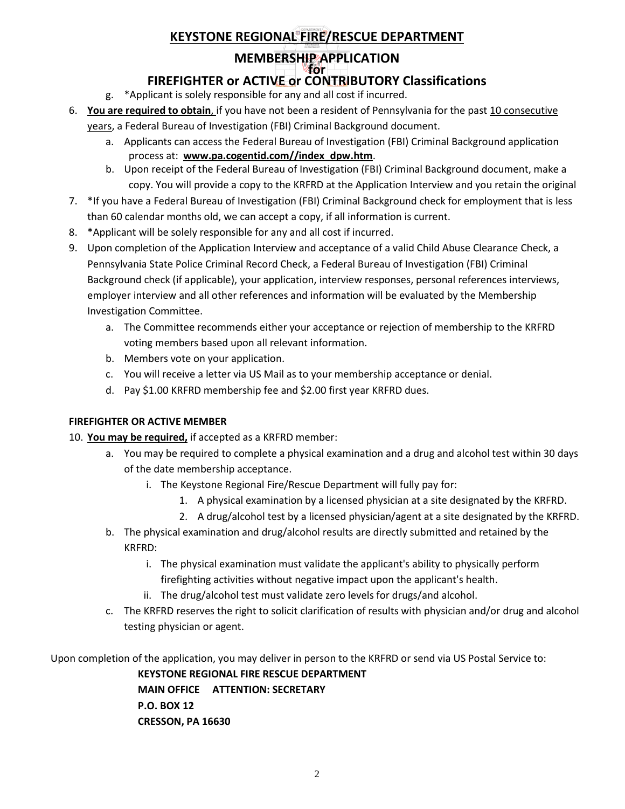# **MEMBERSHIP APPLICATION**

#### **for FIREFIGHTER or ACTIVE or CONTRIBUTORY Classifications**

- g. \*Applicant is solely responsible for any and all cost if incurred.
- 6. **You are required to obtain**, if you have not been a resident of Pennsylvania for the past 10 consecutive

years, a Federal Bureau of Investigation (FBI) Criminal Background document.

- a. Applicants can access the Federal Bureau of Investigation (FBI) Criminal Background application process at: **[www.pa.cogentid.com//index\\_dpw.htm](https://www.pa.cogentid.com/index_dpw.htm)**.
- b. Upon receipt of the Federal Bureau of Investigation (FBI) Criminal Background document, make a copy. You will provide a copy to the KRFRD at the Application Interview and you retain the original
- 7. \*If you have a Federal Bureau of Investigation (FBI) Criminal Background check for employment that is less than 60 calendar months old, we can accept a copy, if all information is current.
- 8. \*Applicant will be solely responsible for any and all cost if incurred.
- 9. Upon completion of the Application Interview and acceptance of a valid Child Abuse Clearance Check, a Pennsylvania State Police Criminal Record Check, a Federal Bureau of Investigation (FBI) Criminal Background check (if applicable), your application, interview responses, personal references interviews, employer interview and all other references and information will be evaluated by the Membership Investigation Committee.
	- a. The Committee recommends either your acceptance or rejection of membership to the KRFRD voting members based upon all relevant information.
	- b. Members vote on your application.
	- c. You will receive a letter via US Mail as to your membership acceptance or denial.
	- d. Pay \$1.00 KRFRD membership fee and \$2.00 first year KRFRD dues.

### **FIREFIGHTER OR ACTIVE MEMBER**

### 10. **You may be required,** if accepted as a KRFRD member:

- a. You may be required to complete a physical examination and a drug and alcohol test within 30 days of the date membership acceptance.
	- i. The Keystone Regional Fire/Rescue Department will fully pay for:
		- 1. A physical examination by a licensed physician at a site designated by the KRFRD.
		- 2. A drug/alcohol test by a licensed physician/agent at a site designated by the KRFRD.
- b. The physical examination and drug/alcohol results are directly submitted and retained by the KRFRD:
	- i. The physical examination must validate the applicant's ability to physically perform firefighting activities without negative impact upon the applicant's health.
	- ii. The drug/alcohol test must validate zero levels for drugs/and alcohol.
- c. The KRFRD reserves the right to solicit clarification of results with physician and/or drug and alcohol testing physician or agent.

Upon completion of the application, you may deliver in person to the KRFRD or send via US Postal Service to:

**KEYSTONE REGIONAL FIRE RESCUE DEPARTMENT MAIN OFFICE ATTENTION: SECRETARY P.O. BOX 12 CRESSON, PA 16630**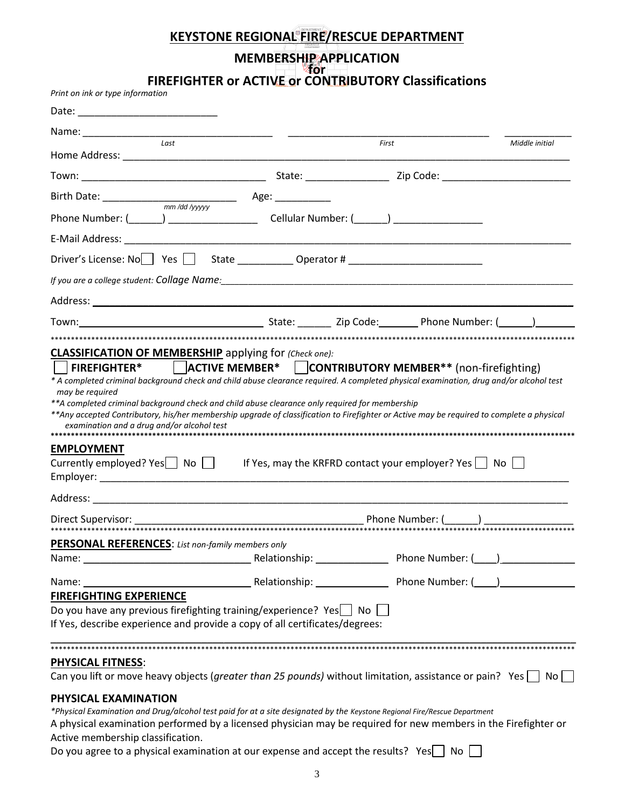### **MEMBERSHIP APPLICATION**

**for FIREFIGHTER or ACTIVE or CONTRIBUTORY Classifications**

| Print on ink or type information                                                                                                                                                                                                                                                                                                                                                                                                                                   |                                    |                                              |  |  |  |  |
|--------------------------------------------------------------------------------------------------------------------------------------------------------------------------------------------------------------------------------------------------------------------------------------------------------------------------------------------------------------------------------------------------------------------------------------------------------------------|------------------------------------|----------------------------------------------|--|--|--|--|
|                                                                                                                                                                                                                                                                                                                                                                                                                                                                    |                                    |                                              |  |  |  |  |
| Last                                                                                                                                                                                                                                                                                                                                                                                                                                                               |                                    | First                                        |  |  |  |  |
|                                                                                                                                                                                                                                                                                                                                                                                                                                                                    |                                    |                                              |  |  |  |  |
|                                                                                                                                                                                                                                                                                                                                                                                                                                                                    |                                    |                                              |  |  |  |  |
|                                                                                                                                                                                                                                                                                                                                                                                                                                                                    |                                    |                                              |  |  |  |  |
| Phone Number: (_______) ___________________                                                                                                                                                                                                                                                                                                                                                                                                                        |                                    | Cellular Number: (_______) _________________ |  |  |  |  |
|                                                                                                                                                                                                                                                                                                                                                                                                                                                                    |                                    |                                              |  |  |  |  |
| Driver's License: No Yes State _______________ Operator # ______________________                                                                                                                                                                                                                                                                                                                                                                                   |                                    |                                              |  |  |  |  |
|                                                                                                                                                                                                                                                                                                                                                                                                                                                                    |                                    |                                              |  |  |  |  |
|                                                                                                                                                                                                                                                                                                                                                                                                                                                                    |                                    |                                              |  |  |  |  |
|                                                                                                                                                                                                                                                                                                                                                                                                                                                                    |                                    |                                              |  |  |  |  |
|                                                                                                                                                                                                                                                                                                                                                                                                                                                                    |                                    |                                              |  |  |  |  |
| **A completed criminal background check and child abuse clearance only required for membership<br>**Any accepted Contributory, his/her membership upgrade of classification to Firefighter or Active may be required to complete a physical<br>examination and a drug and/or alcohol test<br>**********************************<br><b>EMPLOYMENT</b><br>Currently employed? Yes $\Box$ No $\Box$ If Yes, may the KRFRD contact your employer? Yes $\Box$ No $\Box$ |                                    |                                              |  |  |  |  |
|                                                                                                                                                                                                                                                                                                                                                                                                                                                                    |                                    |                                              |  |  |  |  |
|                                                                                                                                                                                                                                                                                                                                                                                                                                                                    |                                    |                                              |  |  |  |  |
|                                                                                                                                                                                                                                                                                                                                                                                                                                                                    |                                    |                                              |  |  |  |  |
| <b>PERSONAL REFERENCES:</b> List non-family members only                                                                                                                                                                                                                                                                                                                                                                                                           |                                    |                                              |  |  |  |  |
|                                                                                                                                                                                                                                                                                                                                                                                                                                                                    |                                    |                                              |  |  |  |  |
| Name: and the state of the state of the state of the state of the state of the state of the state of the state of the state of the state of the state of the state of the state of the state of the state of the state of the                                                                                                                                                                                                                                      | Relationship: Phone Number: (2012) |                                              |  |  |  |  |
| <b>FIREFIGHTING EXPERIENCE</b>                                                                                                                                                                                                                                                                                                                                                                                                                                     |                                    |                                              |  |  |  |  |
| Do you have any previous firefighting training/experience? Yes $\Box$ No $\Box$<br>If Yes, describe experience and provide a copy of all certificates/degrees:                                                                                                                                                                                                                                                                                                     |                                    |                                              |  |  |  |  |
|                                                                                                                                                                                                                                                                                                                                                                                                                                                                    |                                    |                                              |  |  |  |  |
| <b>PHYSICAL FITNESS:</b>                                                                                                                                                                                                                                                                                                                                                                                                                                           |                                    |                                              |  |  |  |  |

Can you lift or move heavy objects (*greater than 25 pounds*) without limitation, assistance or pain? Yes  $\Box$  No  $\Box$ 

#### **PHYSICAL EXAMINATION**

*\*Physical Examination and Drug/alcohol test paid for at a site designated by the Keystone Regional Fire/Rescue Department*

A physical examination performed by a licensed physician may be required for new members in the Firefighter or Active membership classification.

Do you agree to a physical examination at our expense and accept the results? Yes $\Box$  No  $\Box$